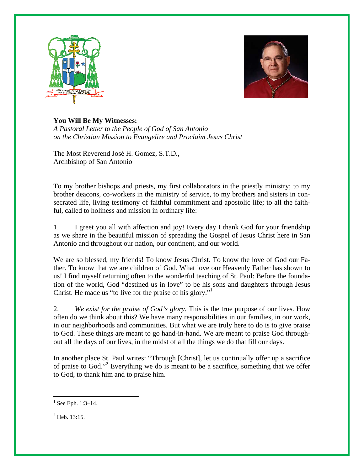



*A Pastoral Letter to the People of God of San Antonio on the Christian Mission to Evangelize and Proclaim Jesus Christ* 

The Most Reverend José H. Gomez, S.T.D., Archbishop of San Antonio

To my brother bishops and priests, my first collaborators in the priestly ministry; to my brother deacons, co-workers in the ministry of service, to my brothers and sisters in consecrated life, living testimony of faithful commitment and apostolic life; to all the faithful, called to holiness and mission in ordinary life:

1. I greet you all with affection and joy! Every day I thank God for your friendship as we share in the beautiful mission of spreading the Gospel of Jesus Christ here in San Antonio and throughout our nation, our continent, and our world.

We are so blessed, my friends! To know Jesus Christ. To know the love of God our Father. To know that we are children of God. What love our Heavenly Father has shown to us! I find myself returning often to the wonderful teaching of St. Paul: Before the foundation of the world, God "destined us in love" to be his sons and daughters through Jesus Christ. He made us "to live for the praise of his glory."

2. *We exist for the praise of God's glory.* This is the true purpose of our lives. How often do we think about this? We have many responsibilities in our families, in our work, in our neighborhoods and communities. But what we are truly here to do is to give praise to God. These things are meant to go hand-in-hand. We are meant to praise God throughout all the days of our lives, in the midst of all the things we do that fill our days.

In another place St. Paul writes: "Through [Christ], let us continually offer up a sacrifice of praise to God."2 Everything we do is meant to be a sacrifice, something that we offer to God, to thank him and to praise him.

 $\overline{a}$ 

 $1$  See Eph. 1:3-14.

 $2$  Heb. 13:15.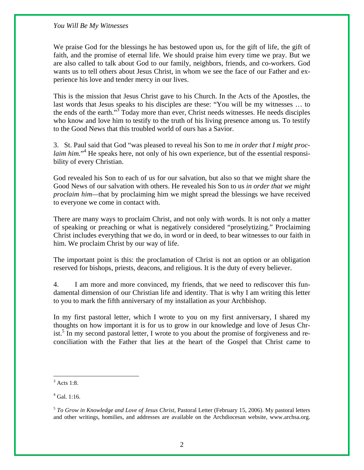We praise God for the blessings he has bestowed upon us, for the gift of life, the gift of faith, and the promise of eternal life. We should praise him every time we pray. But we are also called to talk about God to our family, neighbors, friends, and co-workers. God wants us to tell others about Jesus Christ, in whom we see the face of our Father and experience his love and tender mercy in our lives.

This is the mission that Jesus Christ gave to his Church. In the Acts of the Apostles, the last words that Jesus speaks to his disciples are these: "You will be my witnesses … to the ends of the earth."<sup>3</sup> Today more than ever, Christ needs witnesses. He needs disciples who know and love him to testify to the truth of his living presence among us. To testify to the Good News that this troubled world of ours has a Savior.

3. St. Paul said that God "was pleased to reveal his Son to me *in order that I might proc*laim him."<sup>4</sup> He speaks here, not only of his own experience, but of the essential responsibility of every Christian.

God revealed his Son to each of us for our salvation, but also so that we might share the Good News of our salvation with others. He revealed his Son to us *in order that we might proclaim him—*that by proclaiming him we might spread the blessings we have received to everyone we come in contact with.

There are many ways to proclaim Christ, and not only with words. It is not only a matter of speaking or preaching or what is negatively considered "proselytizing." Proclaiming Christ includes everything that we do, in word or in deed, to bear witnesses to our faith in him. We proclaim Christ by our way of life.

The important point is this: the proclamation of Christ is not an option or an obligation reserved for bishops, priests, deacons, and religious. It is the duty of every believer.

4. I am more and more convinced, my friends, that we need to rediscover this fundamental dimension of our Christian life and identity. That is why I am writing this letter to you to mark the fifth anniversary of my installation as your Archbishop.

In my first pastoral letter, which I wrote to you on my first anniversary, I shared my thoughts on how important it is for us to grow in our knowledge and love of Jesus Christ.<sup>5</sup> In my second pastoral letter, I wrote to you about the promise of forgiveness and reconciliation with the Father that lies at the heart of the Gospel that Christ came to

 $3$  Acts 1:8.

<sup>4</sup> Gal. 1:16.

<sup>5</sup> *To Grow in Knowledge and Love of Jesus Christ,* Pastoral Letter (February 15, 2006). My pastoral letters and other writings, homilies, and addresses are available on the Archdiocesan website, www.archsa.org.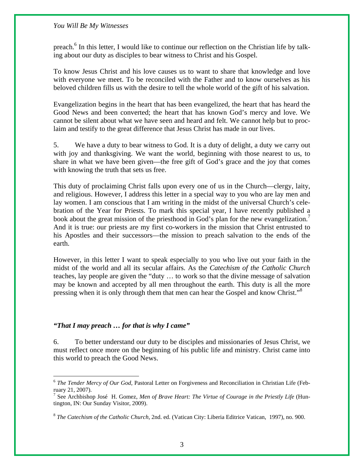preach.<sup>6</sup> In this letter, I would like to continue our reflection on the Christian life by talking about our duty as disciples to bear witness to Christ and his Gospel.

To know Jesus Christ and his love causes us to want to share that knowledge and love with everyone we meet. To be reconciled with the Father and to know ourselves as his beloved children fills us with the desire to tell the whole world of the gift of his salvation.

Evangelization begins in the heart that has been evangelized, the heart that has heard the Good News and been converted; the heart that has known God's mercy and love. We cannot be silent about what we have seen and heard and felt. We cannot help but to proclaim and testify to the great difference that Jesus Christ has made in our lives.

5. We have a duty to bear witness to God. It is a duty of delight, a duty we carry out with joy and thanksgiving. We want the world, beginning with those nearest to us, to share in what we have been given—the free gift of God's grace and the joy that comes with knowing the truth that sets us free.

This duty of proclaiming Christ falls upon every one of us in the Church—clergy, laity, and religious. However, I address this letter in a special way to you who are lay men and lay women. I am conscious that I am writing in the midst of the universal Church's celebration of the Year for Priests. To mark this special year, I have recently published a book about the great mission of the priesthood in God's plan for the new evangelization.<sup>7</sup> And it is true: our priests are my first co-workers in the mission that Christ entrusted to his Apostles and their successors—the mission to preach salvation to the ends of the earth.

However, in this letter I want to speak especially to you who live out your faith in the midst of the world and all its secular affairs. As the *Catechism of the Catholic Church*  teaches, lay people are given the "duty … to work so that the divine message of salvation may be known and accepted by all men throughout the earth. This duty is all the more pressing when it is only through them that men can hear the Gospel and know Christ."<sup>8</sup>

## *"That I may preach … for that is why I came"*

<u>.</u>

6. To better understand our duty to be disciples and missionaries of Jesus Christ, we must reflect once more on the beginning of his public life and ministry. Christ came into this world to preach the Good News.

<sup>6</sup> *The Tender Mercy of Our God,* Pastoral Letter on Forgiveness and Reconciliation in Christian Life (February 21, 2007).

<sup>&</sup>lt;sup>7</sup> See Archbishop José H. Gomez, Men of Brave Heart: The Virtue of Courage in the Priestly Life (Huntington, IN: Our Sunday Visitor, 2009).

<sup>8</sup> *The Catechism of the Catholic Church,* 2nd. ed. (Vatican City: Liberia Editrice Vatican, 1997), no. 900.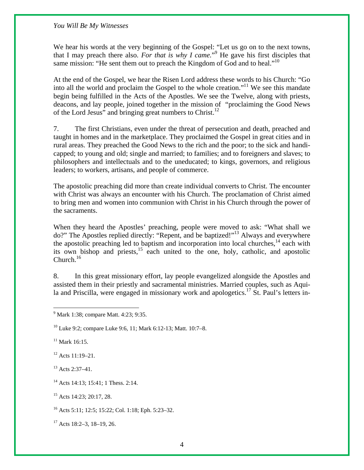We hear his words at the very beginning of the Gospel: "Let us go on to the next towns, that I may preach there also. For that is why I came.<sup>"9</sup> He gave his first disciples that same mission: "He sent them out to preach the Kingdom of God and to heal."<sup>10</sup>

At the end of the Gospel, we hear the Risen Lord address these words to his Church: "Go into all the world and proclaim the Gospel to the whole creation."11 We see this mandate begin being fulfilled in the Acts of the Apostles. We see the Twelve, along with priests, deacons, and lay people, joined together in the mission of "proclaiming the Good News of the Lord Jesus" and bringing great numbers to Christ.<sup>12</sup>

7. The first Christians, even under the threat of persecution and death, preached and taught in homes and in the marketplace. They proclaimed the Gospel in great cities and in rural areas. They preached the Good News to the rich and the poor; to the sick and handicapped; to young and old; single and married; to families; and to foreigners and slaves; to philosophers and intellectuals and to the uneducated; to kings, governors, and religious leaders; to workers, artisans, and people of commerce.

The apostolic preaching did more than create individual converts to Christ. The encounter with Christ was always an encounter with his Church. The proclamation of Christ aimed to bring men and women into communion with Christ in his Church through the power of the sacraments.

When they heard the Apostles' preaching, people were moved to ask: "What shall we do?" The Apostles replied directly: "Repent, and be baptized!"13 Always and everywhere the apostolic preaching led to baptism and incorporation into local churches,  $14$  each with its own bishop and priests, $15$  each united to the one, holy, catholic, and apostolic  $Church.<sup>16</sup>$ 

8. In this great missionary effort, lay people evangelized alongside the Apostles and assisted them in their priestly and sacramental ministries. Married couples, such as Aquila and Priscilla, were engaged in missionary work and apologetics.<sup>17</sup> St. Paul's letters in-

 $11$  Mark 16:15.

12 Acts 11:19–21.

<sup>13</sup> Acts 2:37–41.

<sup>14</sup> Acts 14:13: 15:41: 1 Thess. 2:14.

<sup>15</sup> Acts 14:23; 20:17, 28.

16 Acts 5:11; 12:5; 15:22; Col. 1:18; Eph. 5:23–32.

 $17$  Acts 18:2–3, 18–19, 26.

 9 Mark 1:38; compare Matt. 4:23; 9:35.

<sup>10</sup> Luke 9:2; compare Luke 9:6, 11; Mark 6:12-13; Matt. 10:7–8.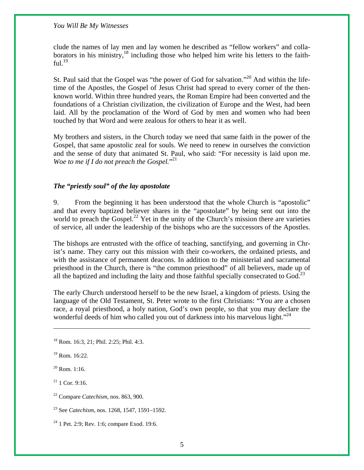clude the names of lay men and lay women he described as "fellow workers" and collaborators in his ministry,  $^{18}$  including those who helped him write his letters to the faithful. $^{19}$ 

St. Paul said that the Gospel was "the power of God for salvation."20 And within the lifetime of the Apostles, the Gospel of Jesus Christ had spread to every corner of the thenknown world. Within three hundred years, the Roman Empire had been converted and the foundations of a Christian civilization, the civilization of Europe and the West, had been laid. All by the proclamation of the Word of God by men and women who had been touched by that Word and were zealous for others to hear it as well.

My brothers and sisters, in the Church today we need that same faith in the power of the Gospel, that same apostolic zeal for souls. We need to renew in ourselves the conviction and the sense of duty that animated St. Paul, who said: "For necessity is laid upon me. Woe to me if I do not preach the Gospel."<sup>21</sup>

# *The "priestly soul" of the lay apostolate*

9. From the beginning it has been understood that the whole Church is "apostolic" and that every baptized believer shares in the "apostolate" by being sent out into the world to preach the Gospel.<sup>22</sup> Yet in the unity of the Church's mission there are varieties of service, all under the leadership of the bishops who are the successors of the Apostles.

The bishops are entrusted with the office of teaching, sanctifying, and governing in Christ's name. They carry out this mission with their co-workers, the ordained priests, and with the assistance of permanent deacons. In addition to the ministerial and sacramental priesthood in the Church, there is "the common priesthood" of all believers, made up of all the baptized and including the laity and those faithful specially consecrated to God.<sup>23</sup>

The early Church understood herself to be the new Israel, a kingdom of priests. Using the language of the Old Testament, St. Peter wrote to the first Christians: "You are a chosen race, a royal priesthood, a holy nation, God's own people, so that you may declare the wonderful deeds of him who called you out of darkness into his marvelous light."<sup>24</sup>

1

 $21$  1 Cor. 9:16.

22 Compare *Catechism,* nos. 863, 900.

23 See *Catechism,* nos. 1268, 1547, 1591–1592.

 $24$  1 Pet. 2:9; Rev. 1:6; compare Exod. 19:6.

<sup>18</sup> Rom. 16:3, 21; Phil. 2:25; Phil. 4:3.

 $19$  Rom. 16:22.

 $^{20}$  Rom. 1:16.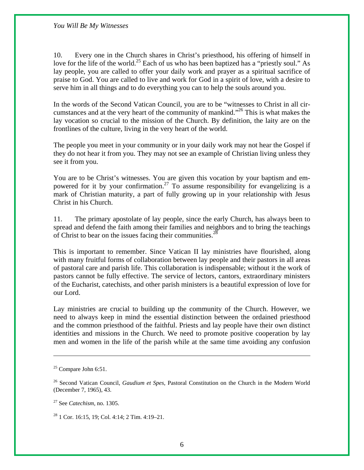10. Every one in the Church shares in Christ's priesthood, his offering of himself in love for the life of the world.<sup>25</sup> Each of us who has been baptized has a "priestly soul." As lay people, you are called to offer your daily work and prayer as a spiritual sacrifice of praise to God. You are called to live and work for God in a spirit of love, with a desire to serve him in all things and to do everything you can to help the souls around you.

In the words of the Second Vatican Council, you are to be "witnesses to Christ in all circumstances and at the very heart of the community of mankind."<sup>26</sup> This is what makes the lay vocation so crucial to the mission of the Church. By definition, the laity are on the frontlines of the culture, living in the very heart of the world.

The people you meet in your community or in your daily work may not hear the Gospel if they do not hear it from you. They may not see an example of Christian living unless they see it from you.

You are to be Christ's witnesses. You are given this vocation by your baptism and empowered for it by your confirmation.<sup>27</sup> To assume responsibility for evangelizing is a mark of Christian maturity, a part of fully growing up in your relationship with Jesus Christ in his Church.

11. The primary apostolate of lay people, since the early Church, has always been to spread and defend the faith among their families and neighbors and to bring the teachings of Christ to bear on the issues facing their communities.<sup>28</sup>

This is important to remember. Since Vatican II lay ministries have flourished, along with many fruitful forms of collaboration between lay people and their pastors in all areas of pastoral care and parish life. This collaboration is indispensable; without it the work of pastors cannot be fully effective. The service of lectors, cantors, extraordinary ministers of the Eucharist, catechists, and other parish ministers is a beautiful expression of love for our Lord.

Lay ministries are crucial to building up the community of the Church. However, we need to always keep in mind the essential distinction between the ordained priesthood and the common priesthood of the faithful. Priests and lay people have their own distinct identities and missions in the Church. We need to promote positive cooperation by lay men and women in the life of the parish while at the same time avoiding any confusion

 $\overline{a}$ 

 $28$  1 Cor. 16:15, 19; Col. 4:14; 2 Tim. 4:19–21.

 $25$  Compare John 6:51.

<sup>26</sup> Second Vatican Council, *Gaudium et Spes,* Pastoral Constitution on the Church in the Modern World (December 7, 1965), 43.

<sup>27</sup> See *Catechism,* no. 1305.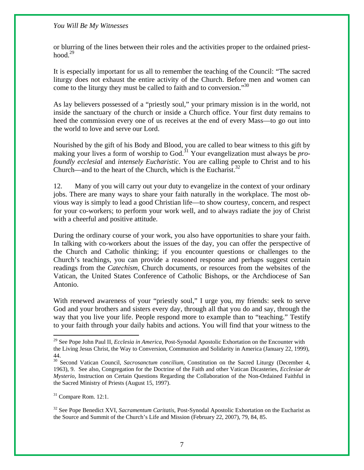or blurring of the lines between their roles and the activities proper to the ordained priesthood. $29$ 

It is especially important for us all to remember the teaching of the Council: "The sacred liturgy does not exhaust the entire activity of the Church. Before men and women can come to the liturgy they must be called to faith and to conversion."<sup>30</sup>

As lay believers possessed of a "priestly soul," your primary mission is in the world, not inside the sanctuary of the church or inside a Church office. Your first duty remains to heed the commission every one of us receives at the end of every Mass—to go out into the world to love and serve our Lord.

Nourished by the gift of his Body and Blood, you are called to bear witness to this gift by making your lives a form of worship to God.<sup>31</sup> Your evangelization must always be *profoundly ecclesial* and *intensely Eucharistic*. You are calling people to Christ and to his Church—and to the heart of the Church, which is the Eucharist.<sup>32</sup>

12. Many of you will carry out your duty to evangelize in the context of your ordinary jobs. There are many ways to share your faith naturally in the workplace. The most obvious way is simply to lead a good Christian life—to show courtesy, concern, and respect for your co-workers; to perform your work well, and to always radiate the joy of Christ with a cheerful and positive attitude.

During the ordinary course of your work, you also have opportunities to share your faith. In talking with co-workers about the issues of the day, you can offer the perspective of the Church and Catholic thinking; if you encounter questions or challenges to the Church's teachings, you can provide a reasoned response and perhaps suggest certain readings from the *Catechism*, Church documents, or resources from the websites of the Vatican, the United States Conference of Catholic Bishops, or the Archdiocese of San Antonio.

With renewed awareness of your "priestly soul," I urge you, my friends: seek to serve God and your brothers and sisters every day, through all that you do and say, through the way that you live your life. People respond more to example than to "teaching." Testify to your faith through your daily habits and actions. You will find that your witness to the

 $31$  Compare Rom. 12:1.

 $\overline{a}$ 

32 See Pope Benedict XVI, *Sacramentum Caritatis,* Post-Synodal Apostolic Exhortation on the Eucharist as the Source and Summit of the Church's Life and Mission (February 22, 2007), 79, 84, 85.

<sup>29</sup> See Pope John Paul II, *Ecclesia in America,* Post-Synodal Apostolic Exhortation on the Encounter with the Living Jesus Christ, the Way to Conversion, Communion and Solidarity in America (January 22, 1999), 44.

<sup>&</sup>lt;sup>30</sup> Second Vatican Council, *Sacrosanctum concilium*, Constitution on the Sacred Liturgy (December 4, 1963), 9. See also, Congregation for the Doctrine of the Faith and other Vatican Dicasteries, *Ecclesiae de Mysterio*, Instruction on Certain Questions Regarding the Collaboration of the Non-Ordained Faithful in the Sacred Ministry of Priests (August 15, 1997).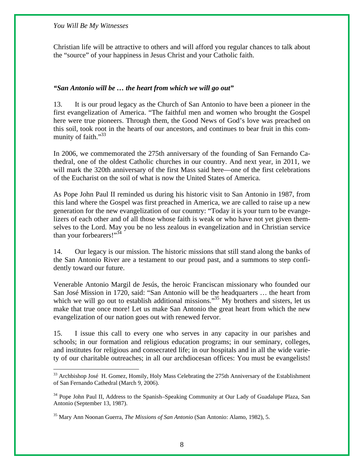$\overline{a}$ 

Christian life will be attractive to others and will afford you regular chances to talk about the "source" of your happiness in Jesus Christ and your Catholic faith.

# *"San Antonio will be … the heart from which we will go out"*

13. It is our proud legacy as the Church of San Antonio to have been a pioneer in the first evangelization of America. "The faithful men and women who brought the Gospel here were true pioneers. Through them, the Good News of God's love was preached on this soil, took root in the hearts of our ancestors, and continues to bear fruit in this community of faith."<sup>33</sup>

In 2006, we commemorated the 275th anniversary of the founding of San Fernando Cathedral, one of the oldest Catholic churches in our country. And next year, in 2011, we will mark the 320th anniversary of the first Mass said here—one of the first celebrations of the Eucharist on the soil of what is now the United States of America.

As Pope John Paul II reminded us during his historic visit to San Antonio in 1987, from this land where the Gospel was first preached in America, we are called to raise up a new generation for the new evangelization of our country: "Today it is your turn to be evangelizers of each other and of all those whose faith is weak or who have not yet given themselves to the Lord. May you be no less zealous in evangelization and in Christian service than your forbearers!"<sup>34</sup>

14. Our legacy is our mission. The historic missions that still stand along the banks of the San Antonio River are a testament to our proud past, and a summons to step confidently toward our future.

Venerable Antonio Margil de Jesús, the heroic Franciscan missionary who founded our San José Mission in 1720, said: "San Antonio will be the headquarters … the heart from which we will go out to establish additional missions."<sup>35</sup> My brothers and sisters, let us make that true once more! Let us make San Antonio the great heart from which the new evangelization of our nation goes out with renewed fervor.

15. I issue this call to every one who serves in any capacity in our parishes and schools; in our formation and religious education programs; in our seminary, colleges, and institutes for religious and consecrated life; in our hospitals and in all the wide variety of our charitable outreaches; in all our archdiocesan offices: You must be evangelists!

<sup>&</sup>lt;sup>33</sup> Archbishop José H. Gomez, Homily, Holy Mass Celebrating the 275th Anniversary of the Establishment of San Fernando Cathedral (March 9, 2006).

<sup>&</sup>lt;sup>34</sup> Pope John Paul II, Address to the Spanish–Speaking Community at Our Lady of Guadalupe Plaza, San Antonio (September 13, 1987).

<sup>35</sup> Mary Ann Noonan Guerra, *The Missions of San Antonio* (San Antonio: Alamo, 1982), 5.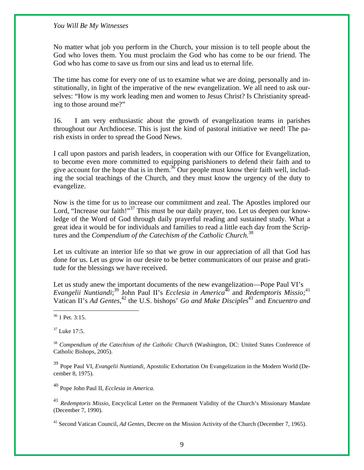No matter what job you perform in the Church, your mission is to tell people about the God who loves them. You must proclaim the God who has come to be our friend. The God who has come to save us from our sins and lead us to eternal life.

The time has come for every one of us to examine what we are doing, personally and institutionally, in light of the imperative of the new evangelization. We all need to ask ourselves: "How is my work leading men and women to Jesus Christ? Is Christianity spreading to those around me?"

16. I am very enthusiastic about the growth of evangelization teams in parishes throughout our Archdiocese. This is just the kind of pastoral initiative we need! The parish exists in order to spread the Good News.

I call upon pastors and parish leaders, in cooperation with our Office for Evangelization, to become even more committed to equipping parishioners to defend their faith and to give account for the hope that is in them.<sup>36</sup> Our people must know their faith well, including the social teachings of the Church, and they must know the urgency of the duty to evangelize.

Now is the time for us to increase our commitment and zeal. The Apostles implored our Lord, "Increase our faith!"<sup>37</sup> This must be our daily prayer, too. Let us deepen our knowledge of the Word of God through daily prayerful reading and sustained study. What a great idea it would be for individuals and families to read a little each day from the Scriptures and the *Compendium of the Catechism of the Catholic Church.*<sup>38</sup>

Let us cultivate an interior life so that we grow in our appreciation of all that God has done for us. Let us grow in our desire to be better communicators of our praise and gratitude for the blessings we have received.

Let us study anew the important documents of the new evangelization—Pope Paul VI's Evangelii Nuntiandi;<sup>39</sup> John Paul II's *Ecclesia in America*<sup>40</sup> and *Redemptoris Missio*;<sup>41</sup> Vatican II's *Ad Gentes*,<sup>42</sup> the U.S. bishops' *Go and Make Disciples*<sup>43</sup> and *Encuentro and* 

 $\overline{a}$ 

 $37$  Luke 17:5.

<sup>38</sup> *Compendium of the Catechism of the Catholic Church* (Washington, DC: United States Conference of Catholic Bishops, 2005).

<sup>39</sup> Pope Paul VI, *Evangelii Nuntiandi*, Apostolic Exhortation On Evangelization in the Modern World (December 8, 1975).

<sup>40</sup> Pope John Paul II, *Ecclesia in America.*

<sup>41</sup> *Redemptoris Missio,* Encyclical Letter on the Permanent Validity of the Church's Missionary Mandate (December 7, 1990).

42 Second Vatican Council, *Ad Gentes,* Decree on the Mission Activity of the Church (December 7, 1965).

<sup>36 1</sup> Pet. 3:15.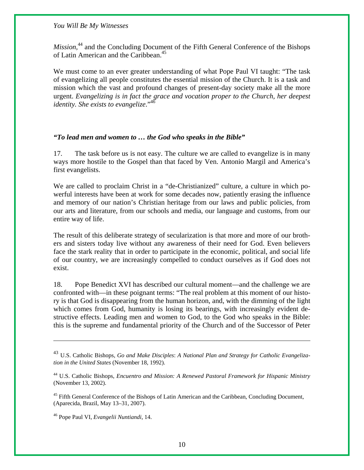*Mission*,<sup>44</sup> and the Concluding Document of the Fifth General Conference of the Bishops of Latin American and the Caribbean.<sup>45</sup>

We must come to an ever greater understanding of what Pope Paul VI taught: "The task of evangelizing all people constitutes the essential mission of the Church. It is a task and mission which the vast and profound changes of present-day society make all the more urgent. *Evangelizing is in fact the grace and vocation proper to the Church, her deepest identity. She exists to evangelize.*"<sup>46</sup>

# *"To lead men and women to … the God who speaks in the Bible"*

17. The task before us is not easy. The culture we are called to evangelize is in many ways more hostile to the Gospel than that faced by Ven. Antonio Margil and America's first evangelists.

We are called to proclaim Christ in a "de-Christianized" culture, a culture in which powerful interests have been at work for some decades now, patiently erasing the influence and memory of our nation's Christian heritage from our laws and public policies, from our arts and literature, from our schools and media, our language and customs, from our entire way of life.

The result of this deliberate strategy of secularization is that more and more of our brothers and sisters today live without any awareness of their need for God. Even believers face the stark reality that in order to participate in the economic, political, and social life of our country, we are increasingly compelled to conduct ourselves as if God does not exist.

18. Pope Benedict XVI has described our cultural moment—and the challenge we are confronted with—in these poignant terms: "The real problem at this moment of our history is that God is disappearing from the human horizon, and, with the dimming of the light which comes from God, humanity is losing its bearings, with increasingly evident destructive effects. Leading men and women to God, to the God who speaks in the Bible: this is the supreme and fundamental priority of the Church and of the Successor of Peter

<sup>45</sup> Fifth General Conference of the Bishops of Latin American and the Caribbean, Concluding Document, (Aparecida, Brazil, May 13–31, 2007).

46 Pope Paul VI, *Evangelii Nuntiandi*, 14.

 $\overline{a}$ 

<sup>43</sup> U.S. Catholic Bishops, *Go and Make Disciples*: *A National Plan and Strategy for Catholic Evangelization in the United States* (November 18, 1992).

<sup>44</sup> U.S. Catholic Bishops, *Encuentro and Mission: A Renewed Pastoral Framework for Hispanic Ministry*  (November 13, 2002).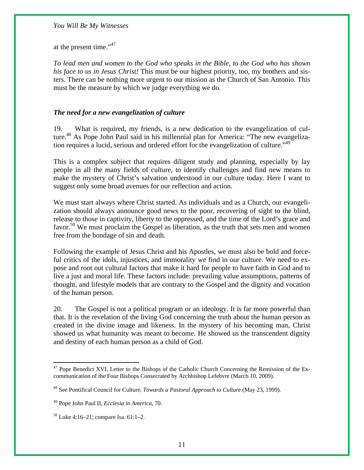at the present time."<sup>47</sup>

*To lead men and women to the God who speaks in the Bible, to the God who has shown his face to us in Jesus Christ!* This must be our highest priority, too, my brothers and sisters. There can be nothing more urgent to our mission as the Church of San Antonio. This must be the measure by which we judge everything we do.

# *The need for a new evangelization of culture*

19. What is required, my friends, is a new dedication to the evangelization of culture.<sup>48</sup> As Pope John Paul said in his millennial plan for America: "The new evangelization requires a lucid, serious and ordered effort for the evangelization of culture.<sup>"49</sup>

This is a complex subject that requires diligent study and planning, especially by lay people in all the many fields of culture, to identify challenges and find new means to make the mystery of Christ's salvation understood in our culture today. Here I want to suggest only some broad avenues for our reflection and action.

We must start always where Christ started. As individuals and as a Church, our evangelization should always announce good news to the poor, recovering of sight to the blind, release to those in captivity, liberty to the oppressed, and the time of the Lord's grace and favor.<sup>50</sup> We must proclaim the Gospel as liberation, as the truth that sets men and women free from the bondage of sin and death.

Following the example of Jesus Christ and his Apostles, we must also be bold and forceful critics of the idols, injustices, and immorality we find in our culture. We need to expose and root out cultural factors that make it hard for people to have faith in God and to live a just and moral life. These factors include: prevailing value assumptions, patterns of thought, and lifestyle models that are contrary to the Gospel and the dignity and vocation of the human person.

20. The Gospel is not a political program or an ideology. It is far more powerful than that. It is the revelation of the living God concerning the truth about the human person as created in the divine image and likeness. In the mystery of his becoming man, Christ showed us what humanity was meant to become. He showed us the transcendent dignity and destiny of each human person as a child of God.

 $\overline{a}$ 

<sup>&</sup>lt;sup>47</sup> Pope Benedict XVI, Letter to the Bishops of the Catholic Church Concerning the Remission of the Excommunication of the Four Bishops Consecrated by Archbishop Lefebvre (March 10, 2009).

<sup>48</sup> See Pontifical Council for Culture, *Towards a Pastoral Approach to Culture* (May 23, 1999).

<sup>49</sup> Pope John Paul II, *Ecclesia in America,* 70.

 $50$  Luke 4:16–21; compare Isa. 61:1–2.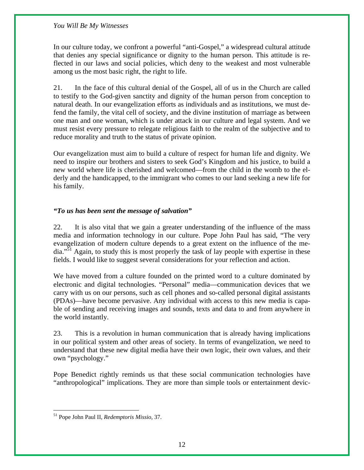In our culture today, we confront a powerful "anti-Gospel," a widespread cultural attitude that denies any special significance or dignity to the human person. This attitude is reflected in our laws and social policies, which deny to the weakest and most vulnerable among us the most basic right, the right to life.

21. In the face of this cultural denial of the Gospel, all of us in the Church are called to testify to the God-given sanctity and dignity of the human person from conception to natural death. In our evangelization efforts as individuals and as institutions, we must defend the family, the vital cell of society, and the divine institution of marriage as between one man and one woman, which is under attack in our culture and legal system. And we must resist every pressure to relegate religious faith to the realm of the subjective and to reduce morality and truth to the status of private opinion.

Our evangelization must aim to build a culture of respect for human life and dignity. We need to inspire our brothers and sisters to seek God's Kingdom and his justice, to build a new world where life is cherished and welcomed—from the child in the womb to the elderly and the handicapped, to the immigrant who comes to our land seeking a new life for his family.

# *"To us has been sent the message of salvation"*

22. It is also vital that we gain a greater understanding of the influence of the mass media and information technology in our culture. Pope John Paul has said, "The very evangelization of modern culture depends to a great extent on the influence of the media."<sup>51</sup> Again, to study this is most properly the task of lay people with expertise in these fields. I would like to suggest several considerations for your reflection and action.

We have moved from a culture founded on the printed word to a culture dominated by electronic and digital technologies. "Personal" media—communication devices that we carry with us on our persons, such as cell phones and so-called personal digital assistants (PDAs)—have become pervasive. Any individual with access to this new media is capable of sending and receiving images and sounds, texts and data to and from anywhere in the world instantly.

23. This is a revolution in human communication that is already having implications in our political system and other areas of society. In terms of evangelization, we need to understand that these new digital media have their own logic, their own values, and their own "psychology."

Pope Benedict rightly reminds us that these social communication technologies have "anthropological" implications. They are more than simple tools or entertainment devic-

1

<sup>51</sup> Pope John Paul II, *Redemptoris Missio,* 37.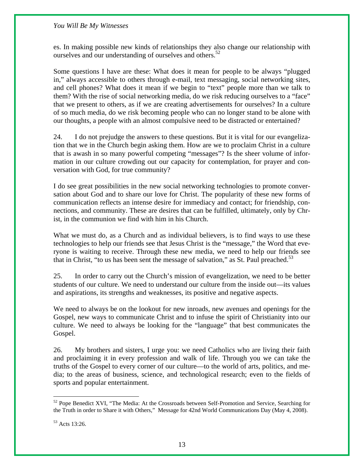es. In making possible new kinds of relationships they also change our relationship with ourselves and our understanding of ourselves and others. $52$ 

Some questions I have are these: What does it mean for people to be always "plugged in," always accessible to others through e-mail, text messaging, social networking sites, and cell phones? What does it mean if we begin to "text" people more than we talk to them? With the rise of social networking media, do we risk reducing ourselves to a "face" that we present to others, as if we are creating advertisements for ourselves? In a culture of so much media, do we risk becoming people who can no longer stand to be alone with our thoughts, a people with an almost compulsive need to be distracted or entertained?

24. I do not prejudge the answers to these questions. But it is vital for our evangelization that we in the Church begin asking them. How are we to proclaim Christ in a culture that is awash in so many powerful competing "messages"? Is the sheer volume of information in our culture crowding out our capacity for contemplation, for prayer and conversation with God, for true community?

I do see great possibilities in the new social networking technologies to promote conversation about God and to share our love for Christ. The popularity of these new forms of communication reflects an intense desire for immediacy and contact; for friendship, connections, and community. These are desires that can be fulfilled, ultimately, only by Christ, in the communion we find with him in his Church.

What we must do, as a Church and as individual believers, is to find ways to use these technologies to help our friends see that Jesus Christ is the "message," the Word that everyone is waiting to receive. Through these new media, we need to help our friends see that in Christ, "to us has been sent the message of salvation," as St. Paul preached. $5<sup>3</sup>$ 

25. In order to carry out the Church's mission of evangelization, we need to be better students of our culture. We need to understand our culture from the inside out—its values and aspirations, its strengths and weaknesses, its positive and negative aspects.

We need to always be on the lookout for new inroads, new avenues and openings for the Gospel, new ways to communicate Christ and to infuse the spirit of Christianity into our culture. We need to always be looking for the "language" that best communicates the Gospel.

26. My brothers and sisters, I urge you: we need Catholics who are living their faith and proclaiming it in every profession and walk of life. Through you we can take the truths of the Gospel to every corner of our culture—to the world of arts, politics, and media; to the areas of business, science, and technological research; even to the fields of sports and popular entertainment.

<u>.</u>

<sup>&</sup>lt;sup>52</sup> Pope Benedict XVI, "The Media: At the Crossroads between Self-Promotion and Service, Searching for the Truth in order to Share it with Others," Message for 42nd World Communications Day (May 4, 2008).

<sup>53</sup> Acts 13:26.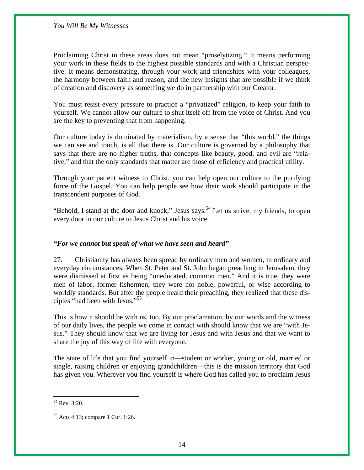Proclaiming Christ in these areas does not mean "proselytizing." It means performing your work in these fields to the highest possible standards and with a Christian perspective. It means demonstrating, through your work and friendships with your colleagues, the harmony between faith and reason, and the new insights that are possible if we think of creation and discovery as something we do in partnership with our Creator.

You must resist every pressure to practice a "privatized" religion, to keep your faith to yourself. We cannot allow our culture to shut itself off from the voice of Christ. And you are the key to preventing that from happening.

Our culture today is dominated by materialism, by a sense that "this world," the things we can see and touch, is all that there is. Our culture is governed by a philosophy that says that there are no higher truths, that concepts like beauty, good, and evil are "relative," and that the only standards that matter are those of efficiency and practical utility.

Through your patient witness to Christ, you can help open our culture to the purifying force of the Gospel. You can help people see how their work should participate in the transcendent purposes of God.

"Behold, I stand at the door and knock," Jesus says.<sup>54</sup> Let us strive, my friends, to open every door in our culture to Jesus Christ and his voice.

# *"For we cannot but speak of what we have seen and heard"*

27. Christianity has always been spread by ordinary men and women, in ordinary and everyday circumstances. When St. Peter and St. John began preaching in Jerusalem, they were dismissed at first as being "uneducated, common men." And it is true, they were men of labor, former fishermen; they were not noble, powerful, or wise according to worldly standards. But after the people heard their preaching, they realized that these disciples "had been with Jesus."55

This is how it should be with us, too. By our proclamation, by our words and the witness of our daily lives, the people we come in contact with should know that we are "with Jesus." They should know that we are living for Jesus and with Jesus and that we want to share the joy of this way of life with everyone.

The state of life that you find yourself in—student or worker, young or old, married or single, raising children or enjoying grandchildren—this is the mission territory that God has given you. Wherever you find yourself is where God has called you to proclaim Jesus

<u>.</u>

<sup>54</sup> Rev. 3:20.

<sup>55</sup> Acts 4:13; compare 1 Cor. 1:26.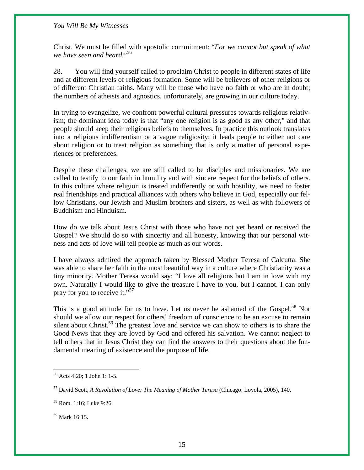Christ. We must be filled with apostolic commitment: "*For we cannot but speak of what we have seen and heard*."<sup>56</sup>

28. You will find yourself called to proclaim Christ to people in different states of life and at different levels of religious formation. Some will be believers of other religions or of different Christian faiths. Many will be those who have no faith or who are in doubt; the numbers of atheists and agnostics, unfortunately, are growing in our culture today.

In trying to evangelize, we confront powerful cultural pressures towards religious relativism; the dominant idea today is that "any one religion is as good as any other," and that people should keep their religious beliefs to themselves. In practice this outlook translates into a religious indifferentism or a vague religiosity; it leads people to either not care about religion or to treat religion as something that is only a matter of personal experiences or preferences.

Despite these challenges, we are still called to be disciples and missionaries. We are called to testify to our faith in humility and with sincere respect for the beliefs of others. In this culture where religion is treated indifferently or with hostility, we need to foster real friendships and practical alliances with others who believe in God, especially our fellow Christians, our Jewish and Muslim brothers and sisters, as well as with followers of Buddhism and Hinduism.

How do we talk about Jesus Christ with those who have not yet heard or received the Gospel? We should do so with sincerity and all honesty, knowing that our personal witness and acts of love will tell people as much as our words.

I have always admired the approach taken by Blessed Mother Teresa of Calcutta. She was able to share her faith in the most beautiful way in a culture where Christianity was a tiny minority. Mother Teresa would say: "I love all religions but I am in love with my own. Naturally I would like to give the treasure I have to you, but I cannot. I can only pray for you to receive it."<sup>57</sup>

This is a good attitude for us to have. Let us never be ashamed of the Gospel.<sup>58</sup> Nor should we allow our respect for others' freedom of conscience to be an excuse to remain silent about Christ.<sup>59</sup> The greatest love and service we can show to others is to share the Good News that they are loved by God and offered his salvation. We cannot neglect to tell others that in Jesus Christ they can find the answers to their questions about the fundamental meaning of existence and the purpose of life.

1

<sup>56</sup> Acts 4:20; 1 John 1: 1-5.

<sup>57</sup> David Scott, *A Revolution of Love: The Meaning of Mother Teresa* (Chicago: Loyola, 2005), 140.

<sup>58</sup> Rom. 1:16; Luke 9:26.

<sup>59</sup> Mark 16:15.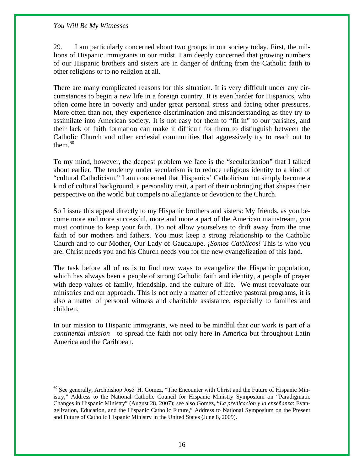$\overline{a}$ 

29. I am particularly concerned about two groups in our society today. First, the millions of Hispanic immigrants in our midst. I am deeply concerned that growing numbers of our Hispanic brothers and sisters are in danger of drifting from the Catholic faith to other religions or to no religion at all.

There are many complicated reasons for this situation. It is very difficult under any circumstances to begin a new life in a foreign country. It is even harder for Hispanics, who often come here in poverty and under great personal stress and facing other pressures. More often than not, they experience discrimination and misunderstanding as they try to assimilate into American society. It is not easy for them to "fit in" to our parishes, and their lack of faith formation can make it difficult for them to distinguish between the Catholic Church and other ecclesial communities that aggressively try to reach out to them. $60$ 

To my mind, however, the deepest problem we face is the "secularization" that I talked about earlier. The tendency under secularism is to reduce religious identity to a kind of "cultural Catholicism." I am concerned that Hispanics' Catholicism not simply become a kind of cultural background, a personality trait, a part of their upbringing that shapes their perspective on the world but compels no allegiance or devotion to the Church.

So I issue this appeal directly to my Hispanic brothers and sisters: My friends, as you become more and more successful, more and more a part of the American mainstream, you must continue to keep your faith. Do not allow yourselves to drift away from the true faith of our mothers and fathers. You must keep a strong relationship to the Catholic Church and to our Mother, Our Lady of Gaudalupe. *¡Somos Católicos!* This is who you are. Christ needs you and his Church needs you for the new evangelization of this land.

The task before all of us is to find new ways to evangelize the Hispanic population, which has always been a people of strong Catholic faith and identity, a people of prayer with deep values of family, friendship, and the culture of life. We must reevaluate our ministries and our approach. This is not only a matter of effective pastoral programs, it is also a matter of personal witness and charitable assistance, especially to families and children.

In our mission to Hispanic immigrants, we need to be mindful that our work is part of a *continental mission*—to spread the faith not only here in America but throughout Latin America and the Caribbean.

<sup>60</sup> See generally, Archbishop José H. Gomez, "The Encounter with Christ and the Future of Hispanic Ministry," Address to the National Catholic Council for Hispanic Ministry Symposium on "Paradigmatic Changes in Hispanic Ministry" (August 28, 2007); see also Gomez, "*La predicación y la enseñanza*: Evangelization, Education, and the Hispanic Catholic Future," Address to National Symposium on the Present and Future of Catholic Hispanic Ministry in the United States (June 8, 2009).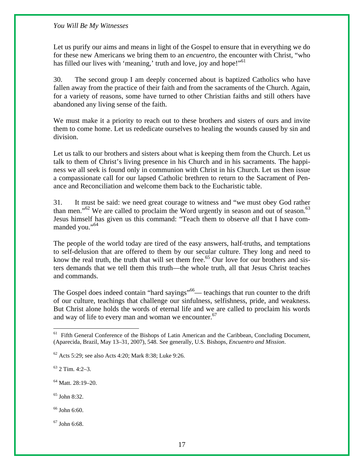Let us purify our aims and means in light of the Gospel to ensure that in everything we do for these new Americans we bring them to an *encuentro,* the encounter with Christ, "who has filled our lives with 'meaning,' truth and love, joy and hope!"<sup>61</sup>

30. The second group I am deeply concerned about is baptized Catholics who have fallen away from the practice of their faith and from the sacraments of the Church. Again, for a variety of reasons, some have turned to other Christian faiths and still others have abandoned any living sense of the faith.

We must make it a priority to reach out to these brothers and sisters of ours and invite them to come home. Let us rededicate ourselves to healing the wounds caused by sin and division.

Let us talk to our brothers and sisters about what is keeping them from the Church. Let us talk to them of Christ's living presence in his Church and in his sacraments. The happiness we all seek is found only in communion with Christ in his Church. Let us then issue a compassionate call for our lapsed Catholic brethren to return to the Sacrament of Penance and Reconciliation and welcome them back to the Eucharistic table.

31. It must be said: we need great courage to witness and "we must obey God rather than men."<sup>62</sup> We are called to proclaim the Word urgently in season and out of season.<sup>63</sup> Jesus himself has given us this command: "Teach them to observe *all* that I have commanded you."<sup>64</sup>

The people of the world today are tired of the easy answers, half-truths, and temptations to self-delusion that are offered to them by our secular culture. They long and need to know the real truth, the truth that will set them free.<sup>65</sup> Our love for our brothers and sisters demands that we tell them this truth—the whole truth, all that Jesus Christ teaches and commands.

The Gospel does indeed contain "hard sayings"<sup>66</sup>— teachings that run counter to the drift of our culture, teachings that challenge our sinfulness, selfishness, pride, and weakness. But Christ alone holds the words of eternal life and we are called to proclaim his words and way of life to every man and woman we encounter.  $67$ 

 $\overline{a}$ 

64 Matt. 28:19–20.

65 John 8:32.

 $66$  John 6:60.

 $67$  John 6:68.

<sup>&</sup>lt;sup>61</sup> Fifth General Conference of the Bishops of Latin American and the Caribbean, Concluding Document, (Aparecida, Brazil, May 13–31, 2007), 548. See generally, U.S. Bishops, *Encuentro and Mission*.

 $62$  Acts 5:29; see also Acts 4:20; Mark 8:38; Luke 9:26.

 $63$  2 Tim. 4:2–3.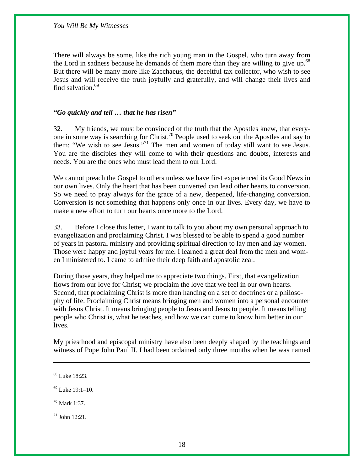There will always be some, like the rich young man in the Gospel, who turn away from the Lord in sadness because he demands of them more than they are willing to give up.<sup>68</sup> But there will be many more like Zacchaeus, the deceitful tax collector, who wish to see Jesus and will receive the truth joyfully and gratefully, and will change their lives and find salvation.<sup>69</sup>

# *"Go quickly and tell … that he has risen"*

32. My friends, we must be convinced of the truth that the Apostles knew, that everyone in some way is searching for Christ.70 People used to seek out the Apostles and say to them: "We wish to see Jesus."71 The men and women of today still want to see Jesus. You are the disciples they will come to with their questions and doubts, interests and needs. You are the ones who must lead them to our Lord.

We cannot preach the Gospel to others unless we have first experienced its Good News in our own lives. Only the heart that has been converted can lead other hearts to conversion. So we need to pray always for the grace of a new, deepened, life-changing conversion. Conversion is not something that happens only once in our lives. Every day, we have to make a new effort to turn our hearts once more to the Lord.

33. Before I close this letter, I want to talk to you about my own personal approach to evangelization and proclaiming Christ. I was blessed to be able to spend a good number of years in pastoral ministry and providing spiritual direction to lay men and lay women. Those were happy and joyful years for me. I learned a great deal from the men and women I ministered to. I came to admire their deep faith and apostolic zeal.

During those years, they helped me to appreciate two things. First, that evangelization flows from our love for Christ; we proclaim the love that we feel in our own hearts. Second, that proclaiming Christ is more than handing on a set of doctrines or a philosophy of life. Proclaiming Christ means bringing men and women into a personal encounter with Jesus Christ. It means bringing people to Jesus and Jesus to people. It means telling people who Christ is, what he teaches, and how we can come to know him better in our lives.

My priesthood and episcopal ministry have also been deeply shaped by the teachings and witness of Pope John Paul II. I had been ordained only three months when he was named

1

 $71$  John 12:21.

<sup>68</sup> Luke 18:23.

 $69$  Luke 19:1–10.

 $70$  Mark 1:37.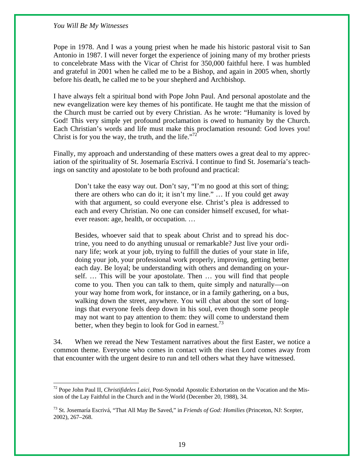$\overline{a}$ 

Pope in 1978. And I was a young priest when he made his historic pastoral visit to San Antonio in 1987. I will never forget the experience of joining many of my brother priests to concelebrate Mass with the Vicar of Christ for 350,000 faithful here. I was humbled and grateful in 2001 when he called me to be a Bishop, and again in 2005 when, shortly before his death, he called me to be your shepherd and Archbishop.

I have always felt a spiritual bond with Pope John Paul. And personal apostolate and the new evangelization were key themes of his pontificate. He taught me that the mission of the Church must be carried out by every Christian. As he wrote: "Humanity is loved by God! This very simple yet profound proclamation is owed to humanity by the Church. Each Christian's words and life must make this proclamation resound: God loves you! Christ is for you the way, the truth, and the life. $172$ 

Finally, my approach and understanding of these matters owes a great deal to my appreciation of the spirituality of St. Josemaría Escrivá. I continue to find St. Josemaría's teachings on sanctity and apostolate to be both profound and practical:

Don't take the easy way out. Don't say, "I'm no good at this sort of thing; there are others who can do it; it isn't my line." … If you could get away with that argument, so could everyone else. Christ's plea is addressed to each and every Christian. No one can consider himself excused, for whatever reason: age, health, or occupation. …

Besides, whoever said that to speak about Christ and to spread his doctrine, you need to do anything unusual or remarkable? Just live your ordinary life; work at your job, trying to fulfill the duties of your state in life, doing your job, your professional work properly, improving, getting better each day. Be loyal; be understanding with others and demanding on yourself. … This will be your apostolate. Then … you will find that people come to you. Then you can talk to them, quite simply and naturally—on your way home from work, for instance, or in a family gathering, on a bus, walking down the street, anywhere. You will chat about the sort of longings that everyone feels deep down in his soul, even though some people may not want to pay attention to them: they will come to understand them better, when they begin to look for God in earnest.<sup>73</sup>

34. When we reread the New Testament narratives about the first Easter, we notice a common theme. Everyone who comes in contact with the risen Lord comes away from that encounter with the urgent desire to run and tell others what they have witnessed.

<sup>72</sup> Pope John Paul II, *Christifideles Laici,* Post-Synodal Apostolic Exhortation on the Vocation and the Mission of the Lay Faithful in the Church and in the World (December 20, 1988), 34.

<sup>73</sup> St. Josemaría Escrivá, "That All May Be Saved," in *Friends of God: Homilies* (Princeton, NJ: Scepter, 2002), 267–268.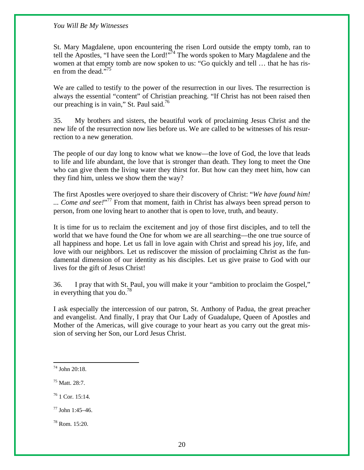St. Mary Magdalene, upon encountering the risen Lord outside the empty tomb, ran to tell the Apostles, "I have seen the Lord!"<sup>74</sup> The words spoken to Mary Magdalene and the women at that empty tomb are now spoken to us: "Go quickly and tell … that he has risen from the dead."<sup>75</sup>

We are called to testify to the power of the resurrection in our lives. The resurrection is always the essential "content" of Christian preaching. "If Christ has not been raised then our preaching is in vain," St. Paul said. $\frac{76}{6}$ 

35. My brothers and sisters, the beautiful work of proclaiming Jesus Christ and the new life of the resurrection now lies before us. We are called to be witnesses of his resurrection to a new generation.

The people of our day long to know what we know—the love of God, the love that leads to life and life abundant, the love that is stronger than death. They long to meet the One who can give them the living water they thirst for. But how can they meet him, how can they find him, unless we show them the way?

The first Apostles were overjoyed to share their discovery of Christ: "*We have found him!*  ... *Come and see!*"<sup>77</sup> From that moment, faith in Christ has always been spread person to person, from one loving heart to another that is open to love, truth, and beauty.

It is time for us to reclaim the excitement and joy of those first disciples, and to tell the world that we have found the One for whom we are all searching—the one true source of all happiness and hope. Let us fall in love again with Christ and spread his joy, life, and love with our neighbors. Let us rediscover the mission of proclaiming Christ as the fundamental dimension of our identity as his disciples. Let us give praise to God with our lives for the gift of Jesus Christ!

36. I pray that with St. Paul, you will make it your "ambition to proclaim the Gospel," in everything that you do.<sup>78</sup>

I ask especially the intercession of our patron, St. Anthony of Padua, the great preacher and evangelist. And finally, I pray that Our Lady of Guadalupe, Queen of Apostles and Mother of the Americas, will give courage to your heart as you carry out the great mission of serving her Son, our Lord Jesus Christ.

 $\overline{a}$ 

78 Rom. 15:20.

<sup>74</sup> John 20:18.

<sup>75</sup> Matt. 28:7.

<sup>76 1</sup> Cor. 15:14.

 $77$  John  $1:45-46$ .